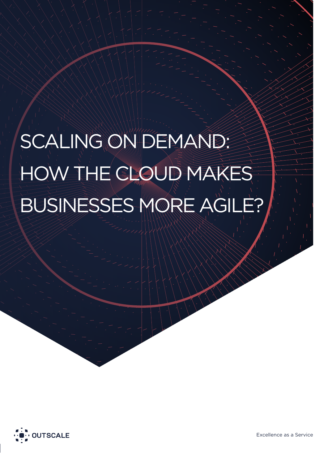# SCALING ON DEMAND: HOW THE CLOUD MAKES BUSINESSES MORE AGILE?



Excellence as a Service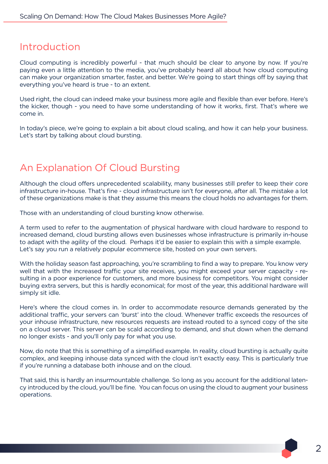### Introduction

Cloud computing is incredibly powerful - that much should be clear to anyone by now. If you're paying even a little attention to the media, you've probably heard all about how cloud computing can make your organization smarter, faster, and better. We're going to start things off by saying that everything you've heard is true - to an extent.

Used right, the cloud can indeed make your business more agile and flexible than ever before. Here's the kicker, though - you need to have some understanding of how it works, first. That's where we come in.

In today's piece, we're going to explain a bit about cloud scaling, and how it can help your business. Let's start by talking about cloud bursting.

# An Explanation Of Cloud Bursting

Although the cloud offers unprecedented scalability, many businesses still prefer to keep their core infrastructure in-house. That's fine - cloud infrastructure isn't for everyone, after all. The mistake a lot of these organizations make is that they assume this means the cloud holds no advantages for them.

Those with an understanding of cloud bursting know otherwise.

A term used to refer to the augmentation of physical hardware with cloud hardware to respond to increased demand, cloud bursting allows even businesses whose infrastructure is primarily in-house to adapt with the agility of the cloud. Perhaps it'd be easier to explain this with a simple example. Let's say you run a relatively popular ecommerce site, hosted on your own servers.

With the holiday season fast approaching, you're scrambling to find a way to prepare. You know very well that with the increased traffic your site receives, you might exceed your server capacity - resulting in a poor experience for customers, and more business for competitors. You might consider buying extra servers, but this is hardly economical; for most of the year, this additional hardware will simply sit idle.

Here's where the cloud comes in. In order to accommodate resource demands generated by the additional traffic, your servers can 'burst' into the cloud. Whenever traffic exceeds the resources of your inhouse infrastructure, new resources requests are instead routed to a synced copy of the site on a cloud server. This server can be scald according to demand, and shut down when the demand no longer exists - and you'll only pay for what you use.

Now, do note that this is something of a simplified example. In reality, cloud bursting is actually quite complex, and keeping inhouse data synced with the cloud isn't exactly easy. This is particularly true if you're running a database both inhouse and on the cloud.

That said, this is hardly an insurmountable challenge. So long as you account for the additional latency introduced by the cloud, you'll be fine. You can focus on using the cloud to augment your business operations.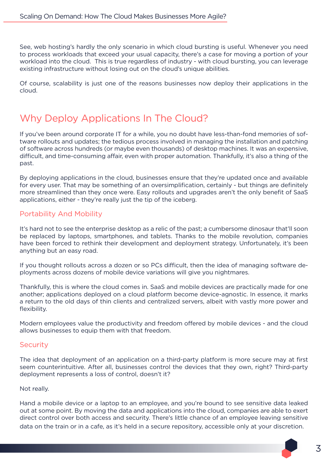See, web hosting's hardly the only scenario in which cloud bursting is useful. Whenever you need to process workloads that exceed your usual capacity, there's a case for moving a portion of your workload into the cloud. This is true regardless of industry - with cloud bursting, you can leverage existing infrastructure without losing out on the cloud's unique abilities.

Of course, scalability is just one of the reasons businesses now deploy their applications in the cloud.

# Why Deploy Applications In The Cloud?

If you've been around corporate IT for a while, you no doubt have less-than-fond memories of software rollouts and updates; the tedious process involved in managing the installation and patching of software across hundreds (or maybe even thousands) of desktop machines. It was an expensive, difficult, and time-consuming affair, even with proper automation. Thankfully, it's also a thing of the past.

By deploying applications in the cloud, businesses ensure that they're updated once and available for every user. That may be something of an oversimplification, certainly - but things are definitely more streamlined than they once were. Easy rollouts and upgrades aren't the only benefit of SaaS applications, either - they're really just the tip of the iceberg.

#### Portability And Mobility

It's hard not to see the enterprise desktop as a relic of the past; a cumbersome dinosaur that'll soon be replaced by laptops, smartphones, and tablets. Thanks to the mobile revolution, companies have been forced to rethink their development and deployment strategy. Unfortunately, it's been anything but an easy road.

If you thought rollouts across a dozen or so PCs difficult, then the idea of managing software deployments across dozens of mobile device variations will give you nightmares.

Thankfully, this is where the cloud comes in. SaaS and mobile devices are practically made for one another; applications deployed on a cloud platform become device-agnostic. In essence, it marks a return to the old days of thin clients and centralized servers, albeit with vastly more power and flexibility.

Modern employees value the productivity and freedom offered by mobile devices - and the cloud allows businesses to equip them with that freedom.

#### **Security**

The idea that deployment of an application on a third-party platform is more secure may at first seem counterintuitive. After all, businesses control the devices that they own, right? Third-party deployment represents a loss of control, doesn't it?

#### Not really.

Hand a mobile device or a laptop to an employee, and you're bound to see sensitive data leaked out at some point. By moving the data and applications into the cloud, companies are able to exert direct control over both access and security. There's little chance of an employee leaving sensitive data on the train or in a cafe, as it's held in a secure repository, accessible only at your discretion.